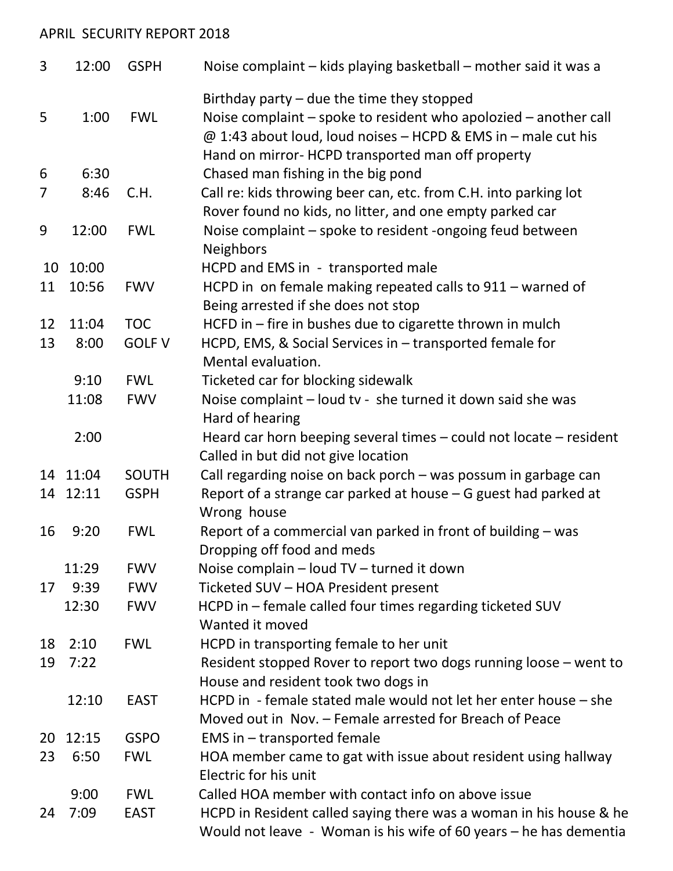## APRIL SECURITY REPORT 2018

| 3              | 12:00    | <b>GSPH</b>   | Noise complaint - kids playing basketball - mother said it was a                                                                                                                                                                       |
|----------------|----------|---------------|----------------------------------------------------------------------------------------------------------------------------------------------------------------------------------------------------------------------------------------|
| 5              | 1:00     | <b>FWL</b>    | Birthday party $-$ due the time they stopped<br>Noise complaint – spoke to resident who apolozied – another call<br>@ 1:43 about loud, loud noises - HCPD & EMS in - male cut his<br>Hand on mirror- HCPD transported man off property |
| 6              | 6:30     |               | Chased man fishing in the big pond                                                                                                                                                                                                     |
| $\overline{7}$ | 8:46     | C.H.          | Call re: kids throwing beer can, etc. from C.H. into parking lot<br>Rover found no kids, no litter, and one empty parked car                                                                                                           |
| 9              | 12:00    | <b>FWL</b>    | Noise complaint - spoke to resident -ongoing feud between<br><b>Neighbors</b>                                                                                                                                                          |
| 10             | 10:00    |               | HCPD and EMS in - transported male                                                                                                                                                                                                     |
| 11             | 10:56    | <b>FWV</b>    | HCPD in on female making repeated calls to 911 - warned of<br>Being arrested if she does not stop                                                                                                                                      |
| 12             | 11:04    | <b>TOC</b>    | HCFD in - fire in bushes due to cigarette thrown in mulch                                                                                                                                                                              |
| 13             | 8:00     | <b>GOLF V</b> | HCPD, EMS, & Social Services in - transported female for<br>Mental evaluation.                                                                                                                                                         |
|                | 9:10     | <b>FWL</b>    | Ticketed car for blocking sidewalk                                                                                                                                                                                                     |
|                | 11:08    | <b>FWV</b>    | Noise complaint - loud tv - she turned it down said she was<br>Hard of hearing                                                                                                                                                         |
|                | 2:00     |               | Heard car horn beeping several times - could not locate - resident<br>Called in but did not give location                                                                                                                              |
|                | 14 11:04 | <b>SOUTH</b>  | Call regarding noise on back porch - was possum in garbage can                                                                                                                                                                         |
|                | 14 12:11 | <b>GSPH</b>   | Report of a strange car parked at house $-$ G guest had parked at<br>Wrong house                                                                                                                                                       |
| 16             | 9:20     | <b>FWL</b>    | Report of a commercial van parked in front of building - was<br>Dropping off food and meds                                                                                                                                             |
|                | 11:29    | <b>FWV</b>    | Noise complain - loud TV - turned it down                                                                                                                                                                                              |
| 17             | 9:39     | <b>FWV</b>    | Ticketed SUV - HOA President present                                                                                                                                                                                                   |
|                | 12:30    | <b>FWV</b>    | HCPD in - female called four times regarding ticketed SUV<br>Wanted it moved                                                                                                                                                           |
| 18             | 2:10     | <b>FWL</b>    | HCPD in transporting female to her unit                                                                                                                                                                                                |
| 19             | 7:22     |               | Resident stopped Rover to report two dogs running loose - went to<br>House and resident took two dogs in                                                                                                                               |
|                | 12:10    | <b>EAST</b>   | HCPD in - female stated male would not let her enter house - she<br>Moved out in Nov. - Female arrested for Breach of Peace                                                                                                            |
| 20             | 12:15    | <b>GSPO</b>   | EMS in - transported female                                                                                                                                                                                                            |
| 23             | 6:50     | <b>FWL</b>    | HOA member came to gat with issue about resident using hallway<br>Electric for his unit                                                                                                                                                |
|                | 9:00     | <b>FWL</b>    | Called HOA member with contact info on above issue                                                                                                                                                                                     |
| 24             | 7:09     | <b>EAST</b>   | HCPD in Resident called saying there was a woman in his house & he<br>Would not leave $-$ Woman is his wife of 60 years $-$ he has dementia                                                                                            |